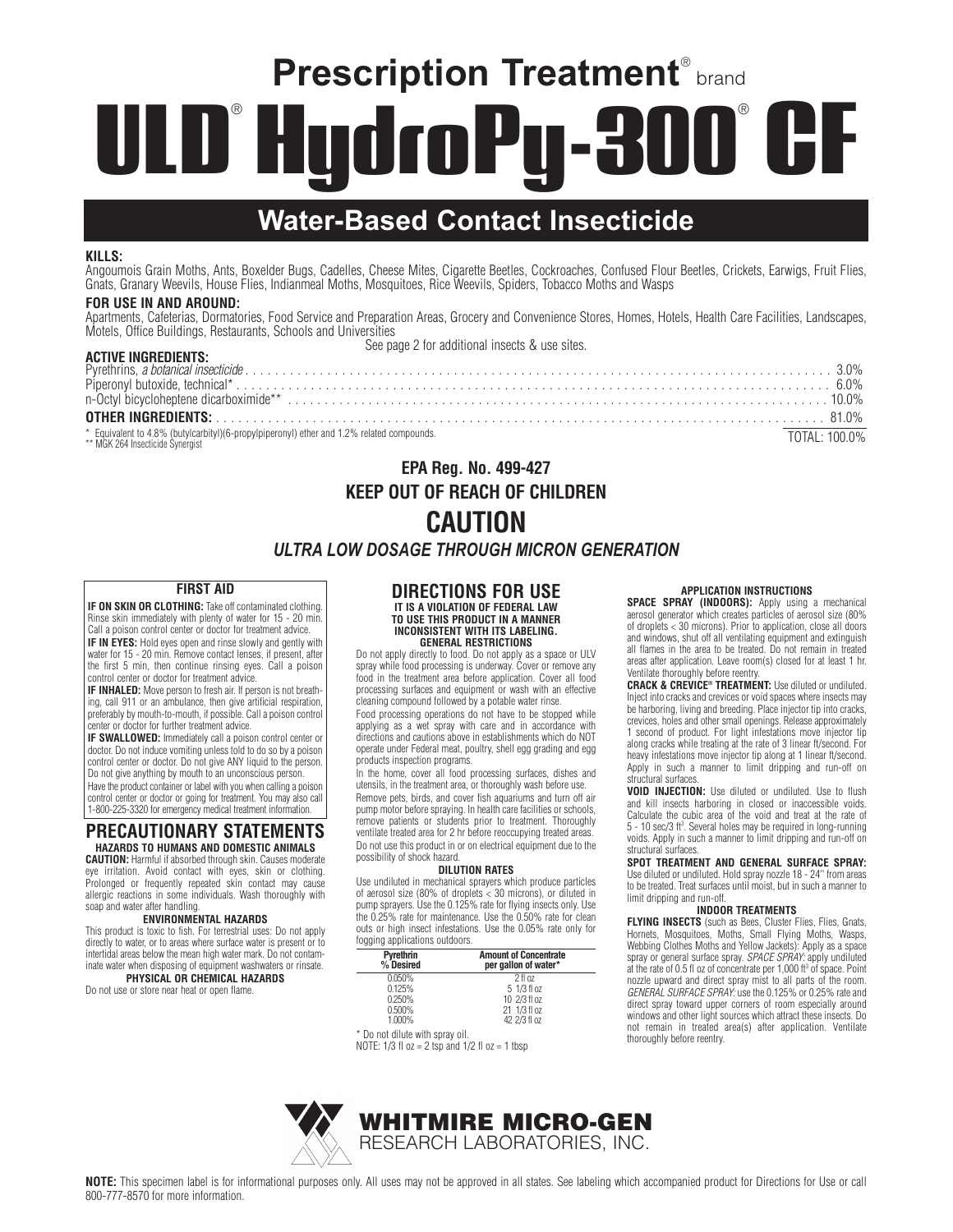# **Prescription Treatment® brand** D<sup>®</sup> Hudr Pu-300 ULI

# **Water-Based Contact Insecticide**

#### $KIIIS$

...\_\_\_.<br>Angoumois Grain Moths, Ants, Boxelder Bugs, Cadelles, Cheese Mites, Cigarette Beetles, Cockroaches, Confused Flour Beetles, Crickets, Earwigs, Fruit Flies,<br>Gnats, Granary Weevils, House Flies, Indianmeal Moths, Mos

### **FOR USE IN AND AROUND:**

**ACTIVE IMPREDIENTS:** 

Apartments, Cafeterias, Dormatories, Food Service and Preparation Areas, Grocery and Convenience Stores, Homes, Hotels, Health Care Facilities, Landscapes, Motels, Office Buildings, Restaurants, Schools and Universities

See page 2 for additional insects & use sites.

| AUTIVE INUNEDIENTO.                                                                                                           |               |  |
|-------------------------------------------------------------------------------------------------------------------------------|---------------|--|
|                                                                                                                               |               |  |
|                                                                                                                               |               |  |
|                                                                                                                               |               |  |
|                                                                                                                               |               |  |
| * Equivalent to 4.8% (butylcarbityl)(6-propylpiperonyl) ether and 1.2% related compounds.<br>** MGK 264 Insecticide Synergist | TOTAL: 100.0% |  |

# **EPA Reg. No. 499-427 KEEP OUT OF REACH OF CHILDREN CAUTION**

# **ULTRA LOW DOSAGE THROUGH MICRON GENERATION**

#### **FIRST AID**

IF ON SKIN OR CLOTHING: Take off contaminated clothing. Rinse skin immediately with plenty of water for 15 - 20 min.<br>Call a poison control center or doctor for treatment advice. IF IN EYES: Hold eyes open and rinse slowly and gently with water for 15 - 20 min. Remove contact lenses, if present, after the first 5 min, then continue rinsing eyes. Call a poison control center or doctor for treatment advice.

IF INHALED: Move person to fresh air. If person is not breathing, call 911 or an ambulance, then give artificial respiration, preferably by mouth-to-mouth, if possible. Call a poison control center or doctor for further treatment advice.

IF SWALLOWED: Immediately call a poison control center or doctor. Do not induce vomiting unless told to do so by a poison control center or doctor. Do not give ANY liquid to the person. Do not give anything by mouth to an unconscious person.

Have the product container or label with you when calling a poison control center or doctor or going for treatment. You may also call 1-800-225-3320 for emergency medical treatment information.

### **PRECAUTIONARY STATEMENTS** HAZARDS TO HUMANS AND DOMESTIC ANIMALS

**CAUTION:** Harmful if absorbed through skin. Causes moderate<br>eye irritation. Avoid contact with eyes, skin or clothing. Prolonged or frequently repeated skin contact may cause allergic reactions in some individuals. Wash thoroughly with soap and water after handling.

#### **ENVIRONMENTAL HAZARDS**

This product is toxic to fish. For terrestrial uses: Do not apply directly to water, or to areas where surface water is present or to intertidal areas below the mean high water mark. Do not contaminate water when disposing of equipment washwaters or rinsate. PHYSICAL OR CHEMICAL HAZARDS

Do not use or store near heat or open flame

# **DIRECTIONS FOR USE**

#### IT IS A VIOLATION OF FEDERAL LAW TO USE THIS PRODUCT IN A MANNER **INCONSISTENT WITH ITS LABELING. GENERAL RESTRICTIONS**

Do not apply directly to food. Do not apply as a space or ULV spray while food processing is underway. Cover or remove any food in the treatment area before application. Cover all food processing surfaces and equipment or wash with an effective cleaning compound followed by a potable water rinse.

Food processing operations do not have to be stopped while applying as a wet spray with care and in accordance with directions and cautions above in establishments which do NOT onerate under Federal meat, poultry, shell egg grading and egg products inspection programs.

In the home, cover all food processing surfaces, dishes and utensils, in the treatment area, or thoroughly wash before use. Remove pets, birds, and cover fish aquariums and turn off air pump motor before spraying. In health care facilities or schools, remove patients or students prior to treatment. Thoroughly ventilate treated area for 2 hr before reoccupying treated areas. Do not use this product in or on electrical equipment due to the possibility of shock hazard.

#### **DILUTION RATES**

Use undiluted in mechanical sprayers which produce particles of aerosol size (80% of droplets < 30 microns), or diluted in<br>pump sprayers. Use the 0.125% rate for flying insects only. Use<br>the 0.25% rate for maintenance. Use the 0.50% rate for clean outs or high insect infestations. Use the 0.05% rate only for fogging applications outdoors.

| <b>Pyrethrin</b><br>% Desired | <b>Amount of Concentrate</b><br>per gallon of water* |
|-------------------------------|------------------------------------------------------|
| 0.050%                        | $2$ fl $0z$                                          |
| 0.125%                        | 5 1/3 fl oz                                          |
| 0.250%                        | 10 2/3 fl oz                                         |
| 0.500%                        | 21 1/3 fl oz                                         |
| $1.000\%$                     | 42 2/3 fl oz                                         |
| Do not diluto with enroy oil  |                                                      |

Jo not dilute with spray oil NOTE:  $1/3$  fl  $oz = 2$  tsp and  $1/2$  fl  $oz = 1$  tbsp

SPACE SPRAY (INDOORS): Apply using a mechanical are colligenerator which creates particles of aerosol size (80%<br>of droplets < 30 microns). Prior to application, close all doors<br>and windows, shut off all ventilating equipment and extinguish<br>all flames in the area to be t areas after application. Leave room(s) closed for at least 1 hr. Ventilate thoroughly before reentry.

**CRACK & CREVICE® TREATMENT:** Use diluted or undiluted. Inject into cracks and crevices or void spaces where insects may be harboring, living and breeding. Place injector tip into cracks, crevices, holes and other small openings. Release approximately<br>1 second of product. For light infestations move injector tip along cracks while treating at the rate of 3 linear ft/second. For heavy infestations move injector tip along at 1 linear ft/second. Apply in such a manner to limit dripping and run-off on structural surfaces

**VOID INJECTION:** Use diluted or undiluted. Use to flush and kill insects harboring in closed or inaccessible voids. Calculate the cubic area of the void and treat at the rate of  $5 - 10 \text{ sec}/3 \text{ ft}^3$ . Several holes may be required in long-running voids. Apply in such a manner to limit dripping and run-off on structural surfaces.

### SPOT TREATMENT AND GENERAL SURFACE SPRAY:

Use diluted or undiluted. Hold spray nozzle 18 - 24" from areas to be treated. Treat surfaces until moist, but in such a manner to limit dripping and run-off.

#### **INDOOR TREATMENTS**

**FLYING INSECTS** (such as Bees, Cluster Flies, Flies, Gnats, Hornets, Mosquitoes, Moths, Small Flying Moths, Wasps, Webbing Clothes Moths and Yellow Jackets): Apply as a space spray or general surface spray. SPACE SPRAY: apply undiluted at the rate of 0.5 fl oz of concentrate per 1,000 ft3 of space. Point nozzle upward and direct spray mist to all parts of the room. GENERAL SURFACE SPRAY: use the 0.125% or 0.25% rate and direct spray toward upper corners of room especially around windows and other light sources which attract these insects. Do not remain in treated area(s) after application. Ventilate thoroughly before reentry.



**APPLICATION INSTRUCTIONS**